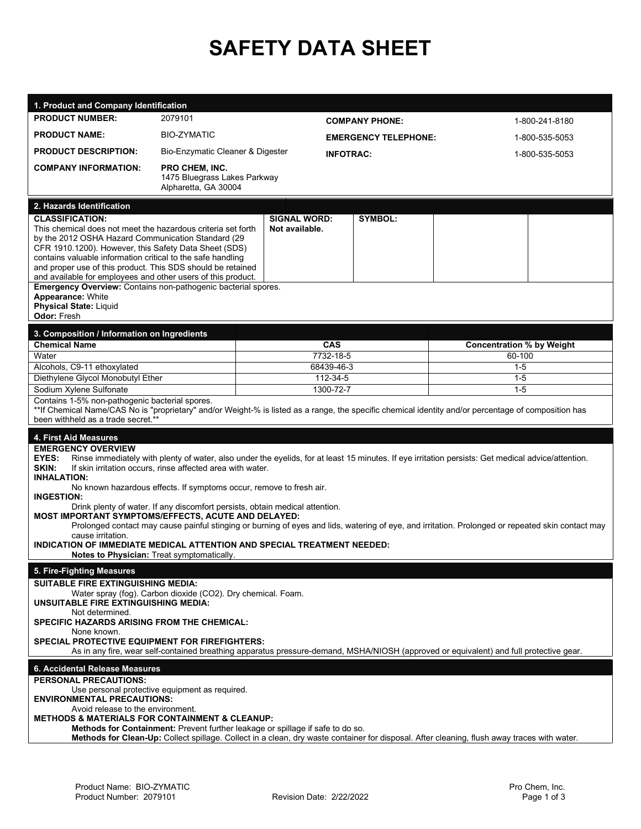## **SAFETY DATA SHEET**

| 1. Product and Company Identification                                                                                                                                                                                                                                                                                                                                                                                                                                                                                                                                                                                                                                                                                                                                                                                                                |                                                      |                                       |                       |                                  |                |  |  |
|------------------------------------------------------------------------------------------------------------------------------------------------------------------------------------------------------------------------------------------------------------------------------------------------------------------------------------------------------------------------------------------------------------------------------------------------------------------------------------------------------------------------------------------------------------------------------------------------------------------------------------------------------------------------------------------------------------------------------------------------------------------------------------------------------------------------------------------------------|------------------------------------------------------|---------------------------------------|-----------------------|----------------------------------|----------------|--|--|
| <b>PRODUCT NUMBER:</b>                                                                                                                                                                                                                                                                                                                                                                                                                                                                                                                                                                                                                                                                                                                                                                                                                               | 2079101                                              |                                       | <b>COMPANY PHONE:</b> |                                  | 1-800-241-8180 |  |  |
| <b>PRODUCT NAME:</b>                                                                                                                                                                                                                                                                                                                                                                                                                                                                                                                                                                                                                                                                                                                                                                                                                                 | <b>BIO-ZYMATIC</b>                                   |                                       |                       | 1-800-535-5053                   |                |  |  |
| <b>PRODUCT DESCRIPTION:</b>                                                                                                                                                                                                                                                                                                                                                                                                                                                                                                                                                                                                                                                                                                                                                                                                                          | Bio-Enzymatic Cleaner & Digester                     | <b>EMERGENCY TELEPHONE:</b>           |                       |                                  |                |  |  |
| <b>COMPANY INFORMATION:</b>                                                                                                                                                                                                                                                                                                                                                                                                                                                                                                                                                                                                                                                                                                                                                                                                                          | <b>PRO CHEM, INC.</b>                                | <b>INFOTRAC:</b>                      |                       |                                  | 1-800-535-5053 |  |  |
|                                                                                                                                                                                                                                                                                                                                                                                                                                                                                                                                                                                                                                                                                                                                                                                                                                                      | 1475 Bluegrass Lakes Parkway<br>Alpharetta, GA 30004 |                                       |                       |                                  |                |  |  |
| 2. Hazards Identification                                                                                                                                                                                                                                                                                                                                                                                                                                                                                                                                                                                                                                                                                                                                                                                                                            |                                                      |                                       |                       |                                  |                |  |  |
| <b>CLASSIFICATION:</b><br>This chemical does not meet the hazardous criteria set forth<br>by the 2012 OSHA Hazard Communication Standard (29<br>CFR 1910.1200). However, this Safety Data Sheet (SDS)<br>contains valuable information critical to the safe handling<br>and proper use of this product. This SDS should be retained<br>and available for employees and other users of this product.<br>Emergency Overview: Contains non-pathogenic bacterial spores.<br>Appearance: White                                                                                                                                                                                                                                                                                                                                                            |                                                      | <b>SIGNAL WORD:</b><br>Not available. | <b>SYMBOL:</b>        |                                  |                |  |  |
| <b>Physical State: Liquid</b><br><b>Odor: Fresh</b>                                                                                                                                                                                                                                                                                                                                                                                                                                                                                                                                                                                                                                                                                                                                                                                                  |                                                      |                                       |                       |                                  |                |  |  |
| 3. Composition / Information on Ingredients                                                                                                                                                                                                                                                                                                                                                                                                                                                                                                                                                                                                                                                                                                                                                                                                          |                                                      |                                       |                       |                                  |                |  |  |
| <b>Chemical Name</b>                                                                                                                                                                                                                                                                                                                                                                                                                                                                                                                                                                                                                                                                                                                                                                                                                                 |                                                      | <b>CAS</b><br>7732-18-5               |                       | <b>Concentration % by Weight</b> |                |  |  |
| Water                                                                                                                                                                                                                                                                                                                                                                                                                                                                                                                                                                                                                                                                                                                                                                                                                                                |                                                      |                                       |                       | 60-100                           |                |  |  |
| Alcohols, C9-11 ethoxylated<br>Diethylene Glycol Monobutyl Ether                                                                                                                                                                                                                                                                                                                                                                                                                                                                                                                                                                                                                                                                                                                                                                                     | 68439-46-3                                           |                                       |                       | $1-5$<br>$1 - 5$                 |                |  |  |
| Sodium Xylene Sulfonate                                                                                                                                                                                                                                                                                                                                                                                                                                                                                                                                                                                                                                                                                                                                                                                                                              |                                                      | 112-34-5<br>1300-72-7                 |                       | $1-5$                            |                |  |  |
| Contains 1-5% non-pathogenic bacterial spores.                                                                                                                                                                                                                                                                                                                                                                                                                                                                                                                                                                                                                                                                                                                                                                                                       |                                                      |                                       |                       |                                  |                |  |  |
| **If Chemical Name/CAS No is "proprietary" and/or Weight-% is listed as a range, the specific chemical identity and/or percentage of composition has<br>been withheld as a trade secret.**                                                                                                                                                                                                                                                                                                                                                                                                                                                                                                                                                                                                                                                           |                                                      |                                       |                       |                                  |                |  |  |
|                                                                                                                                                                                                                                                                                                                                                                                                                                                                                                                                                                                                                                                                                                                                                                                                                                                      |                                                      |                                       |                       |                                  |                |  |  |
| 4. First Aid Measures<br><b>EMERGENCY OVERVIEW</b><br>EYES:<br>Rinse immediately with plenty of water, also under the eyelids, for at least 15 minutes. If eye irritation persists: Get medical advice/attention.<br>SKIN:<br>If skin irritation occurs, rinse affected area with water.<br><b>INHALATION:</b><br>No known hazardous effects. If symptoms occur, remove to fresh air.<br><b>INGESTION:</b><br>Drink plenty of water. If any discomfort persists, obtain medical attention.<br>MOST IMPORTANT SYMPTOMS/EFFECTS, ACUTE AND DELAYED:<br>Prolonged contact may cause painful stinging or burning of eyes and lids, watering of eye, and irritation. Prolonged or repeated skin contact may<br>cause irritation.<br>INDICATION OF IMMEDIATE MEDICAL ATTENTION AND SPECIAL TREATMENT NEEDED:<br>Notes to Physician: Treat symptomatically. |                                                      |                                       |                       |                                  |                |  |  |
| 5. Fire-Fighting Measures                                                                                                                                                                                                                                                                                                                                                                                                                                                                                                                                                                                                                                                                                                                                                                                                                            |                                                      |                                       |                       |                                  |                |  |  |
| SUITABLE FIRE EXTINGUISHING MEDIA:<br>Water spray (fog). Carbon dioxide (CO2). Dry chemical. Foam.<br><b>UNSUITABLE FIRE EXTINGUISHING MEDIA:</b><br>Not determined.<br><b>SPECIFIC HAZARDS ARISING FROM THE CHEMICAL:</b><br>None known.<br><b>SPECIAL PROTECTIVE EQUIPMENT FOR FIREFIGHTERS:</b><br>As in any fire, wear self-contained breathing apparatus pressure-demand, MSHA/NIOSH (approved or equivalent) and full protective gear.                                                                                                                                                                                                                                                                                                                                                                                                         |                                                      |                                       |                       |                                  |                |  |  |
| 6. Accidental Release Measures                                                                                                                                                                                                                                                                                                                                                                                                                                                                                                                                                                                                                                                                                                                                                                                                                       |                                                      |                                       |                       |                                  |                |  |  |
| <b>PERSONAL PRECAUTIONS:</b><br>Use personal protective equipment as required.<br><b>ENVIRONMENTAL PRECAUTIONS:</b><br>Avoid release to the environment.<br><b>METHODS &amp; MATERIALS FOR CONTAINMENT &amp; CLEANUP:</b><br>Methods for Containment: Prevent further leakage or spillage if safe to do so.<br>Methods for Clean-Up: Collect spillage. Collect in a clean, dry waste container for disposal. After cleaning, flush away traces with water.                                                                                                                                                                                                                                                                                                                                                                                           |                                                      |                                       |                       |                                  |                |  |  |
|                                                                                                                                                                                                                                                                                                                                                                                                                                                                                                                                                                                                                                                                                                                                                                                                                                                      |                                                      |                                       |                       |                                  |                |  |  |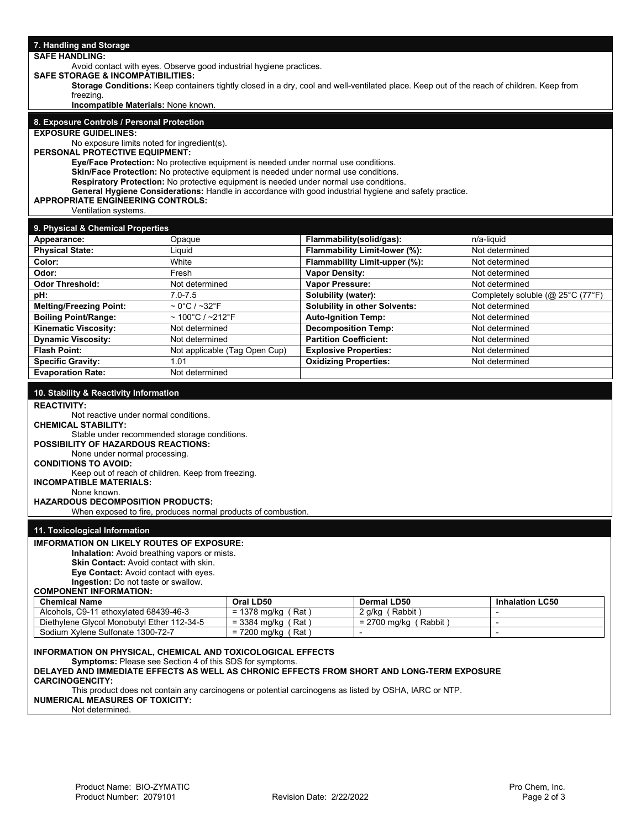| <b>SAFE HANDLING:</b>                                                                      | 7. Handling and Storage       |                                                                                                                                           |                                   |  |  |  |  |
|--------------------------------------------------------------------------------------------|-------------------------------|-------------------------------------------------------------------------------------------------------------------------------------------|-----------------------------------|--|--|--|--|
| Avoid contact with eyes. Observe good industrial hygiene practices.                        |                               |                                                                                                                                           |                                   |  |  |  |  |
| <b>SAFE STORAGE &amp; INCOMPATIBILITIES:</b>                                               |                               |                                                                                                                                           |                                   |  |  |  |  |
|                                                                                            |                               | Storage Conditions: Keep containers tightly closed in a dry, cool and well-ventilated place. Keep out of the reach of children. Keep from |                                   |  |  |  |  |
| freezing.<br>Incompatible Materials: None known.                                           |                               |                                                                                                                                           |                                   |  |  |  |  |
|                                                                                            |                               |                                                                                                                                           |                                   |  |  |  |  |
| 8. Exposure Controls / Personal Protection<br><b>EXPOSURE GUIDELINES:</b>                  |                               |                                                                                                                                           |                                   |  |  |  |  |
| No exposure limits noted for ingredient(s).                                                |                               |                                                                                                                                           |                                   |  |  |  |  |
| PERSONAL PROTECTIVE EQUIPMENT:                                                             |                               |                                                                                                                                           |                                   |  |  |  |  |
| Eye/Face Protection: No protective equipment is needed under normal use conditions.        |                               |                                                                                                                                           |                                   |  |  |  |  |
| Skin/Face Protection: No protective equipment is needed under normal use conditions.       |                               |                                                                                                                                           |                                   |  |  |  |  |
| Respiratory Protection: No protective equipment is needed under normal use conditions.     |                               |                                                                                                                                           |                                   |  |  |  |  |
| <b>APPROPRIATE ENGINEERING CONTROLS:</b>                                                   |                               | General Hygiene Considerations: Handle in accordance with good industrial hygiene and safety practice.                                    |                                   |  |  |  |  |
| Ventilation systems.                                                                       |                               |                                                                                                                                           |                                   |  |  |  |  |
|                                                                                            |                               |                                                                                                                                           |                                   |  |  |  |  |
| 9. Physical & Chemical Properties<br>Appearance:<br>Opaque                                 |                               |                                                                                                                                           | n/a-liquid                        |  |  |  |  |
| <b>Physical State:</b><br>Liquid                                                           |                               | Flammability(solid/gas):<br>Flammability Limit-lower (%):                                                                                 | Not determined                    |  |  |  |  |
| Color:<br>White                                                                            |                               | Flammability Limit-upper (%):                                                                                                             | Not determined                    |  |  |  |  |
| Odor:<br>Fresh                                                                             |                               | <b>Vapor Density:</b>                                                                                                                     | Not determined                    |  |  |  |  |
| <b>Odor Threshold:</b><br>Not determined                                                   |                               | Vapor Pressure:                                                                                                                           | Not determined                    |  |  |  |  |
| $7.0 - 7.5$<br>pH:                                                                         |                               | Solubility (water):                                                                                                                       | Completely soluble (@ 25°C (77°F) |  |  |  |  |
| <b>Melting/Freezing Point:</b><br>$\sim 0^{\circ}$ C / $\sim$ 32 $^{\circ}$ F              |                               | <b>Solubility in other Solvents:</b>                                                                                                      | Not determined                    |  |  |  |  |
| $\sim$ 100°C / ~212°F<br><b>Boiling Point/Range:</b>                                       |                               | <b>Auto-Ignition Temp:</b>                                                                                                                | Not determined                    |  |  |  |  |
| Kinematic Viscosity:<br>Not determined                                                     |                               | <b>Decomposition Temp:</b>                                                                                                                | Not determined                    |  |  |  |  |
| <b>Dynamic Viscosity:</b><br>Not determined                                                |                               | <b>Partition Coefficient:</b>                                                                                                             | Not determined                    |  |  |  |  |
| <b>Flash Point:</b>                                                                        | Not applicable (Tag Open Cup) | <b>Explosive Properties:</b>                                                                                                              | Not determined                    |  |  |  |  |
| <b>Specific Gravity:</b><br>1.01                                                           |                               | <b>Oxidizing Properties:</b>                                                                                                              | Not determined                    |  |  |  |  |
| <b>Evaporation Rate:</b><br>Not determined                                                 |                               |                                                                                                                                           |                                   |  |  |  |  |
| 10. Stability & Reactivity Information                                                     |                               |                                                                                                                                           |                                   |  |  |  |  |
| <b>REACTIVITY:</b>                                                                         |                               |                                                                                                                                           |                                   |  |  |  |  |
| Not reactive under normal conditions.                                                      |                               |                                                                                                                                           |                                   |  |  |  |  |
| <b>CHEMICAL STABILITY:</b>                                                                 |                               |                                                                                                                                           |                                   |  |  |  |  |
| Stable under recommended storage conditions.                                               |                               |                                                                                                                                           |                                   |  |  |  |  |
| POSSIBILITY OF HAZARDOUS REACTIONS:<br>None under normal processing.                       |                               |                                                                                                                                           |                                   |  |  |  |  |
| <b>CONDITIONS TO AVOID:</b>                                                                |                               |                                                                                                                                           |                                   |  |  |  |  |
| Keep out of reach of children. Keep from freezing.                                         |                               |                                                                                                                                           |                                   |  |  |  |  |
| <b>INCOMPATIBLE MATERIALS:</b>                                                             |                               |                                                                                                                                           |                                   |  |  |  |  |
|                                                                                            | None known.                   |                                                                                                                                           |                                   |  |  |  |  |
|                                                                                            |                               |                                                                                                                                           |                                   |  |  |  |  |
| <b>HAZARDOUS DECOMPOSITION PRODUCTS:</b>                                                   |                               |                                                                                                                                           |                                   |  |  |  |  |
| When exposed to fire, produces normal products of combustion.                              |                               |                                                                                                                                           |                                   |  |  |  |  |
| 11. Toxicological Information                                                              |                               |                                                                                                                                           |                                   |  |  |  |  |
| <b>IMFORMATION ON LIKELY ROUTES OF EXPOSURE:</b>                                           |                               |                                                                                                                                           |                                   |  |  |  |  |
| <b>Inhalation:</b> Avoid breathing vapors or mists.                                        |                               |                                                                                                                                           |                                   |  |  |  |  |
| Skin Contact: Avoid contact with skin.                                                     |                               |                                                                                                                                           |                                   |  |  |  |  |
| Eye Contact: Avoid contact with eyes.                                                      |                               |                                                                                                                                           |                                   |  |  |  |  |
| Ingestion: Do not taste or swallow.<br><b>COMPONENT INFORMATION:</b>                       |                               |                                                                                                                                           |                                   |  |  |  |  |
| <b>Chemical Name</b>                                                                       | Oral LD50                     | Dermal LD50                                                                                                                               | <b>Inhalation LC50</b>            |  |  |  |  |
| Alcohols, C9-11 ethoxylated 68439-46-3                                                     | $= 1378$ mg/kg (Rat)          | 2 g/kg (Rabbit)                                                                                                                           | $\overline{\phantom{a}}$          |  |  |  |  |
| Diethylene Glycol Monobutyl Ether 112-34-5                                                 | $=$ 3384 mg/kg (Rat)          | $= 2700$ mg/kg (Rabbit)                                                                                                                   | $\overline{a}$                    |  |  |  |  |
| Sodium Xylene Sulfonate 1300-72-7                                                          | $= 7200$ mg/kg (Rat)          | $\overline{\phantom{0}}$                                                                                                                  | $\overline{\phantom{0}}$          |  |  |  |  |
| <b>INFORMATION ON PHYSICAL, CHEMICAL AND TOXICOLOGICAL EFFECTS</b>                         |                               |                                                                                                                                           |                                   |  |  |  |  |
| <b>Symptoms:</b> Please see Section 4 of this SDS for symptoms.                            |                               |                                                                                                                                           |                                   |  |  |  |  |
| DELAYED AND IMMEDIATE EFFECTS AS WELL AS CHRONIC EFFECTS FROM SHORT AND LONG-TERM EXPOSURE |                               |                                                                                                                                           |                                   |  |  |  |  |
| <b>CARCINOGENCITY:</b>                                                                     |                               |                                                                                                                                           |                                   |  |  |  |  |
| <b>NUMERICAL MEASURES OF TOXICITY:</b>                                                     |                               | This product does not contain any carcinogens or potential carcinogens as listed by OSHA, IARC or NTP.                                    |                                   |  |  |  |  |